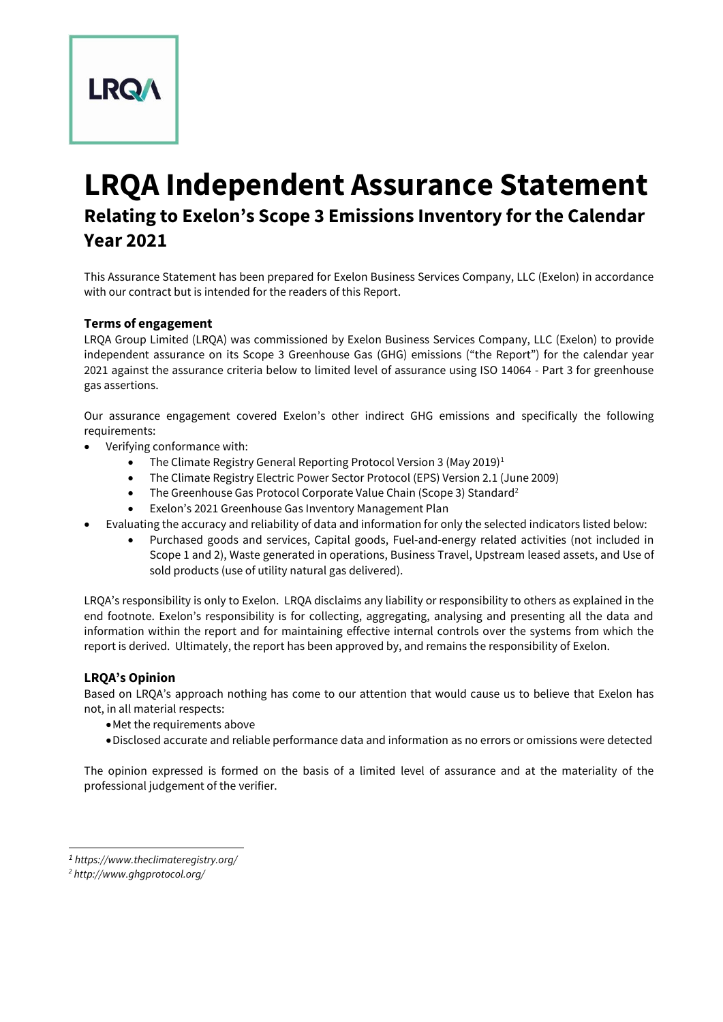

# **LRQA Independent Assurance Statement Relating to Exelon's Scope 3 Emissions Inventory for the Calendar Year 2021**

This Assurance Statement has been prepared for Exelon Business Services Company, LLC (Exelon) in accordance with our contract but is intended for the readers of this Report.

# **Terms of engagement**

LRQA Group Limited (LRQA) was commissioned by Exelon Business Services Company, LLC (Exelon) to provide independent assurance on its Scope 3 Greenhouse Gas (GHG) emissions ("the Report") for the calendar year 2021 against the assurance criteria below to limited level of assurance using ISO 14064 - Part 3 for greenhouse gas assertions.

Our assurance engagement covered Exelon's other indirect GHG emissions and specifically the following requirements:

- Verifying conformance with:
	- The Climate Registry General Reporting Protocol Version 3 (May 2019)<sup>1</sup>
	- The Climate Registry Electric Power Sector Protocol (EPS) Version 2.1 (June 2009)
	- The Greenhouse Gas Protocol Corporate Value Chain (Scope 3) Standard<sup>2</sup>
	- Exelon's 2021 Greenhouse Gas Inventory Management Plan
- Evaluating the accuracy and reliability of data and information for only the selected indicators listed below:
	- Purchased goods and services, Capital goods, Fuel-and-energy related activities (not included in Scope 1 and 2), Waste generated in operations, Business Travel, Upstream leased assets, and Use of sold products (use of utility natural gas delivered).

LRQA's responsibility is only to Exelon. LRQA disclaims any liability or responsibility to others as explained in the end footnote. Exelon's responsibility is for collecting, aggregating, analysing and presenting all the data and information within the report and for maintaining effective internal controls over the systems from which the report is derived. Ultimately, the report has been approved by, and remains the responsibility of Exelon.

#### **LRQA's Opinion**

Based on LRQA's approach nothing has come to our attention that would cause us to believe that Exelon has not, in all material respects:

- •Met the requirements above
- •Disclosed accurate and reliable performance data and information as no errors or omissions were detected

The opinion expressed is formed on the basis of a limited level of assurance and at the materiality of the professional judgement of the verifier.

*<sup>1</sup> https://www.theclimateregistry.org/*

*<sup>2</sup> http://www.ghgprotocol.org/*